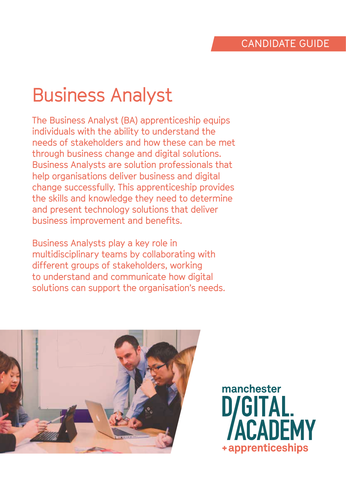# Business Analyst

The Business Analyst (BA) apprenticeship equips individuals with the ability to understand the needs of stakeholders and how these can be met through business change and digital solutions. Business Analysts are solution professionals that help organisations deliver business and digital change successfully. This apprenticeship provides the skills and knowledge they need to determine and present technology solutions that deliver business improvement and benefits.

Business Analysts play a key role in multidisciplinary teams by collaborating with different groups of stakeholders, working to understand and communicate how digital solutions can support the organisation's needs.



manchester D/GITAL. **CADEMY** +apprenticeships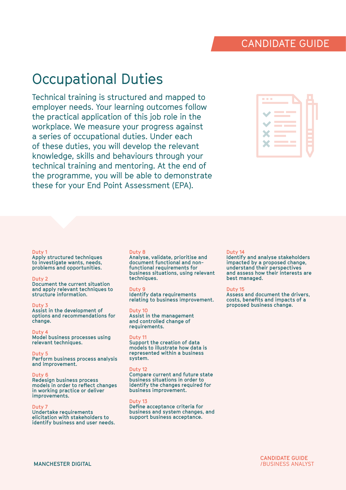# Occupational Duties

Technical training is structured and mapped to employer needs. Your learning outcomes follow the practical application of this job role in the workplace. We measure your progress against a series of occupational duties. Under each of these duties, you will develop the relevant knowledge, skills and behaviours through your technical training and mentoring. At the end of the programme, you will be able to demonstrate these for your End Point Assessment (EPA).

| <b>The Company</b><br>$\mathcal{L}^{\text{max}}_{\text{max}}$ and $\mathcal{L}^{\text{max}}_{\text{max}}$ and $\mathcal{L}^{\text{max}}_{\text{max}}$ |  |
|-------------------------------------------------------------------------------------------------------------------------------------------------------|--|
| <b>Contract Contract Contract Contract Contract Contract Contract Contract Contract Contract Contract Contract Co</b>                                 |  |
| <b>Contract Contract</b><br>and the state of the state of the state of the state of the state of the state of the state of the state of th            |  |
| <b>Contract Contract Contract Contract Contract Contract Contract Contract Contract Contract Contract Contract Co</b><br><b>Contract Contract</b>     |  |

#### **Duty 1**

**Apply structured techniques to investigate wants, needs, problems and opportunities.**

#### **Duty 2**

**Document the current situation and apply relevant techniques to structure information.**

#### **Duty 3**

**Assist in the development of options and recommendations for change.**

#### **Duty 4**

**Model business processes using relevant techniques.**

#### **Duty 5**

**Perform business process analysis and improvement.**

#### **Duty 6**

**Redesign business process models in order to reflect changes in working practice or deliver improvements.**

#### **Duty 7**

**Undertake requirements elicitation with stakeholders to identify business and user needs.**

#### **Duty 8**

**Analyse, validate, prioritise and document functional and nonfunctional requirements for business situations, using relevant techniques.**

#### **Duty 9**

**Identify data requirements relating to business improvement.**

#### **Duty 10**

**Assist in the management and controlled change of requirements.**

#### **Duty 11**

**Support the creation of data models to illustrate how data is represented within a business system.**

#### **Duty 12**

**Compare current and future state business situations in order to identify the changes required for business improvement.**

#### **Duty 13**

**Define acceptance criteria for business and system changes, and support business acceptance.**

#### **Duty 14**

**Identify and analyse stakeholders impacted by a proposed change, understand their perspectives and assess how their interests are best managed.**

#### **Duty 15**

**Assess and document the drivers, costs, benefits and impacts of a proposed business change.**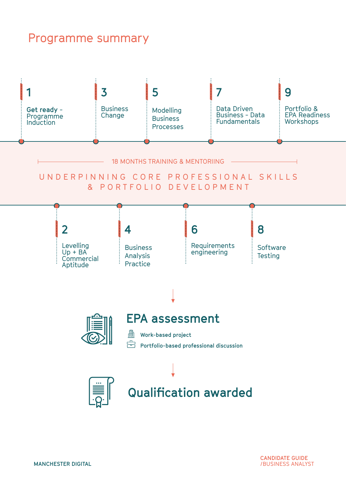### Programme summary